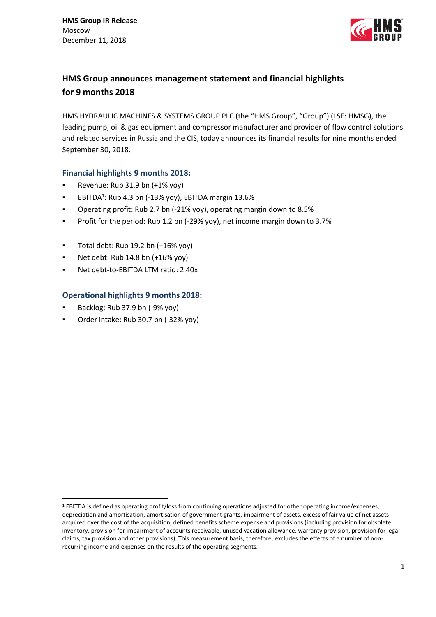

# **HMS Group announces management statement and financial highlights for 9 months 2018**

HMS HYDRAULIC MACHINES & SYSTEMS GROUP PLC (the "HMS Group", "Group") (LSE: HMSG), the leading pump, oil & gas equipment and compressor manufacturer and provider of flow control solutions and related services in Russia and the CIS, today announces its financial results for nine months ended September 30, 2018.

## **Financial highlights 9 months 2018:**

- Revenue: Rub 31.9 bn (+1% yoy)
- **EBITDA<sup>1</sup>: Rub 4.3 bn (-13% yoy), EBITDA margin 13.6%**
- Operating profit: Rub 2.7 bn (-21% yoy), operating margin down to 8.5%
- Profit for the period: Rub 1.2 bn (-29% yoy), net income margin down to 3.7%
- Total debt: Rub 19.2 bn  $(+16\%$  yoy)
- Net debt: Rub 14.8 bn (+16% yoy)
- Net debt-to-EBITDA LTM ratio: 2.40x

## **Operational highlights 9 months 2018:**

Backlog: Rub 37.9 bn (-9% yoy)

<u>.</u>

Order intake: Rub 30.7 bn (-32% yoy)

<sup>1</sup> EBITDA is defined as operating profit/loss from continuing operations adjusted for other operating income/expenses, depreciation and amortisation, amortisation of government grants, impairment of assets, excess of fair value of net assets acquired over the cost of the acquisition, defined benefits scheme expense and provisions (including provision for obsolete inventory, provision for impairment of accounts receivable, unused vacation allowance, warranty provision, provision for legal claims, tax provision and other provisions). This measurement basis, therefore, excludes the effects of a number of nonrecurring income and expenses on the results of the operating segments.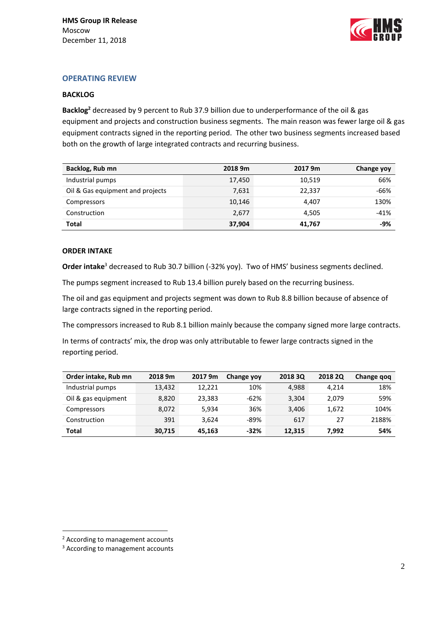

## **OPERATING REVIEW**

### **BACKLOG**

**Backlog<sup>2</sup>** decreased by 9 percent to Rub 37.9 billion due to underperformance of the oil & gas equipment and projects and construction business segments. The main reason was fewer large oil & gas equipment contracts signed in the reporting period. The other two business segments increased based both on the growth of large integrated contracts and recurring business.

| Backlog, Rub mn                  | 2018 9m | 2017 9m | Change yoy |
|----------------------------------|---------|---------|------------|
| Industrial pumps                 | 17,450  | 10,519  | 66%        |
| Oil & Gas equipment and projects | 7,631   | 22,337  | -66%       |
| Compressors                      | 10,146  | 4,407   | 130%       |
| Construction                     | 2,677   | 4.505   | $-41%$     |
| <b>Total</b>                     | 37,904  | 41,767  | -9%        |

### **ORDER INTAKE**

Order intake<sup>3</sup> decreased to Rub 30.7 billion (-32% yoy). Two of HMS' business segments declined.

The pumps segment increased to Rub 13.4 billion purely based on the recurring business.

The oil and gas equipment and projects segment was down to Rub 8.8 billion because of absence of large contracts signed in the reporting period.

The compressors increased to Rub 8.1 billion mainly because the company signed more large contracts.

In terms of contracts' mix, the drop was only attributable to fewer large contracts signed in the reporting period.

| Order intake, Rub mn | 2018 9m | 2017 9m | Change yoy | 2018 30 | 2018 20 | Change qoq |
|----------------------|---------|---------|------------|---------|---------|------------|
| Industrial pumps     | 13.432  | 12.221  | 10%        | 4.988   | 4.214   | 18%        |
| Oil & gas equipment  | 8.820   | 23.383  | $-62%$     | 3,304   | 2.079   | 59%        |
| Compressors          | 8.072   | 5.934   | 36%        | 3,406   | 1,672   | 104%       |
| Construction         | 391     | 3.624   | $-89%$     | 617     | 27      | 2188%      |
| Total                | 30,715  | 45.163  | $-32%$     | 12,315  | 7.992   | 54%        |

1

<sup>2</sup> According to management accounts

<sup>3</sup> According to management accounts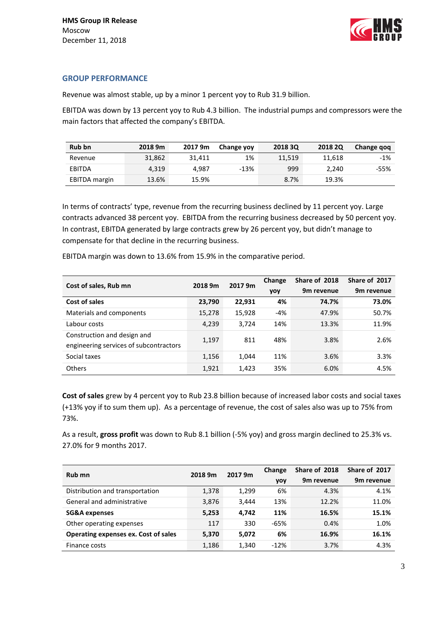

## **GROUP PERFORMANCE**

Revenue was almost stable, up by a minor 1 percent yoy to Rub 31.9 billion.

EBITDA was down by 13 percent yoy to Rub 4.3 billion. The industrial pumps and compressors were the main factors that affected the company's EBITDA.

| <b>Rub bn</b>        | 2018 9m | 2017 9m | Change yoy | 2018 30 | 2018 20 | Change gog |
|----------------------|---------|---------|------------|---------|---------|------------|
| Revenue              | 31.862  | 31.411  | 1%         | 11,519  | 11.618  | $-1%$      |
| EBITDA               | 4.319   | 4.987   | $-13%$     | 999     | 2.240   | $-55%$     |
| <b>EBITDA</b> margin | 13.6%   | 15.9%   |            | 8.7%    | 19.3%   |            |

In terms of contracts' type, revenue from the recurring business declined by 11 percent yoy. Large contracts advanced 38 percent yoy. EBITDA from the recurring business decreased by 50 percent yoy. In contrast, EBITDA generated by large contracts grew by 26 percent yoy, but didn't manage to compensate for that decline in the recurring business.

| Cost of sales, Rub mn                                                 | 2018 9m | 2017 9m | Change<br>yoy | Share of 2018<br>9m revenue | Share of 2017<br>9m revenue |
|-----------------------------------------------------------------------|---------|---------|---------------|-----------------------------|-----------------------------|
| Cost of sales                                                         | 23,790  | 22.931  | 4%            | 74.7%                       | 73.0%                       |
| Materials and components                                              | 15,278  | 15,928  | $-4%$         | 47.9%                       | 50.7%                       |
| Labour costs                                                          | 4,239   | 3.724   | 14%           | 13.3%                       | 11.9%                       |
| Construction and design and<br>engineering services of subcontractors | 1,197   | 811     | 48%           | 3.8%                        | 2.6%                        |
| Social taxes                                                          | 1,156   | 1,044   | 11%           | 3.6%                        | 3.3%                        |
| Others                                                                | 1,921   | 1,423   | 35%           | 6.0%                        | 4.5%                        |

EBITDA margin was down to 13.6% from 15.9% in the comparative period.

**Cost of sales** grew by 4 percent yoy to Rub 23.8 billion because of increased labor costs and social taxes (+13% yoy if to sum them up). As a percentage of revenue, the cost of sales also was up to 75% from 73%.

As a result, **gross profit** was down to Rub 8.1 billion (-5% yoy) and gross margin declined to 25.3% vs. 27.0% for 9 months 2017.

| Rub mn                               | 2018 9m<br>2017 9m |       | Change | Share of 2018          | Share of 2017 |
|--------------------------------------|--------------------|-------|--------|------------------------|---------------|
|                                      |                    | yoy   |        | 9 <sub>m</sub> revenue | 9m revenue    |
| Distribution and transportation      | 1,378              | 1,299 | 6%     | 4.3%                   | 4.1%          |
| General and administrative           | 3,876              | 3.444 | 13%    | 12.2%                  | 11.0%         |
| <b>SG&amp;A expenses</b>             | 5,253              | 4.742 | 11%    | 16.5%                  | 15.1%         |
| Other operating expenses             | 117                | 330   | $-65%$ | 0.4%                   | 1.0%          |
| Operating expenses ex. Cost of sales | 5,370              | 5,072 | 6%     | 16.9%                  | 16.1%         |
| Finance costs                        | 1,186              | 1,340 | $-12%$ | 3.7%                   | 4.3%          |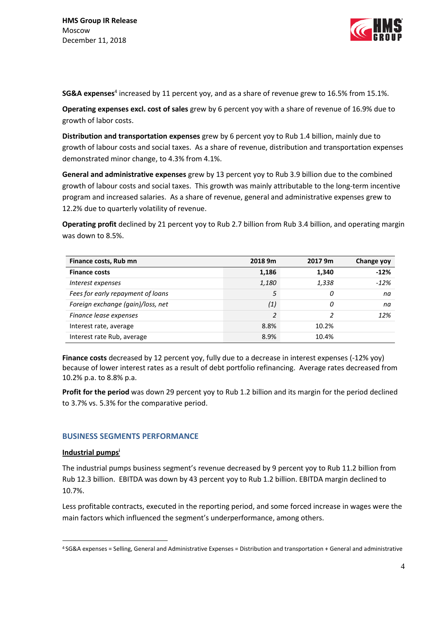

SG&A expenses<sup>4</sup> increased by 11 percent yoy, and as a share of revenue grew to 16.5% from 15.1%.

**Operating expenses excl. cost of sales** grew by 6 percent yoy with a share of revenue of 16.9% due to growth of labor costs.

**Distribution and transportation expenses** grew by 6 percent yoy to Rub 1.4 billion, mainly due to growth of labour costs and social taxes. As a share of revenue, distribution and transportation expenses demonstrated minor change, to 4.3% from 4.1%.

**General and administrative expenses** grew by 13 percent yoy to Rub 3.9 billion due to the combined growth of labour costs and social taxes. This growth was mainly attributable to the long-term incentive program and increased salaries. As a share of revenue, general and administrative expenses grew to 12.2% due to quarterly volatility of revenue.

**Operating profit** declined by 21 percent yoy to Rub 2.7 billion from Rub 3.4 billion, and operating margin was down to 8.5%.

| Finance costs, Rub mn             | 2018 9m       | 2017 9m | <b>Change yoy</b> |
|-----------------------------------|---------------|---------|-------------------|
| <b>Finance costs</b>              | 1,186         | 1,340   | $-12%$            |
| Interest expenses                 | 1,180         | 1,338   | $-12%$            |
| Fees for early repayment of loans |               | 0       | na                |
| Foreign exchange (gain)/loss, net | (1)           | 0       | na                |
| Finance lease expenses            | $\mathcal{I}$ | 2       | 12%               |
| Interest rate, average            | 8.8%          | 10.2%   |                   |
| Interest rate Rub, average        | 8.9%          | 10.4%   |                   |

**Finance costs** decreased by 12 percent yoy, fully due to a decrease in interest expenses (-12% yoy) because of lower interest rates as a result of debt portfolio refinancing. Average rates decreased from 10.2% p.a. to 8.8% p.a.

**Profit for the period** was down 29 percent yoy to Rub 1.2 billion and its margin for the period declined to 3.7% vs. 5.3% for the comparative period.

## **BUSINESS SEGMENTS PERFORMANCE**

### **Industrial pumps<sup>i</sup>**

1

The industrial pumps business segment's revenue decreased by 9 percent yoy to Rub 11.2 billion from Rub 12.3 billion. EBITDA was down by 43 percent yoy to Rub 1.2 billion. EBITDA margin declined to 10.7%.

Less profitable contracts, executed in the reporting period, and some forced increase in wages were the main factors which influenced the segment's underperformance, among others.

<sup>4</sup> SG&A expenses = Selling, General and Administrative Expenses = Distribution and transportation + General and administrative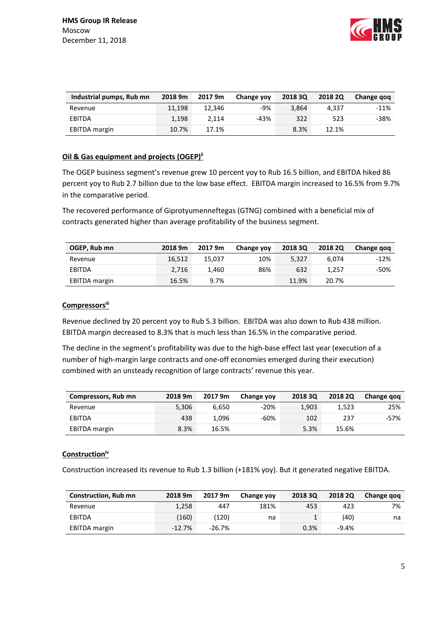

| Industrial pumps, Rub mn | 2018 9m | 2017 9m | Change yoy | 2018 30 | 2018 20 | Change gog |
|--------------------------|---------|---------|------------|---------|---------|------------|
| Revenue                  | 11.198  | 12.346  | -9%        | 3.864   | 4.337   | $-11%$     |
| EBITDA                   | 1.198   | 2.114   | -43%       | 322     | 523     | $-38%$     |
| <b>EBITDA</b> margin     | 10.7%   | 17.1%   |            | 8.3%    | 12.1%   |            |

## **Oil & Gas equipment and projects (OGEP)ii**

The OGEP business segment's revenue grew 10 percent yoy to Rub 16.5 billion, and EBITDA hiked 86 percent yoy to Rub 2.7 billion due to the low base effect. EBITDA margin increased to 16.5% from 9.7% in the comparative period.

The recovered performance of Giprotyumenneftegas (GTNG) combined with a beneficial mix of contracts generated higher than average profitability of the business segment.

| OGEP, Rub mn         | 2018 9m | 2017 9m | Change yoy | 2018 3Q | <b>2018 2Q</b> | Change gog |
|----------------------|---------|---------|------------|---------|----------------|------------|
| Revenue              | 16.512  | 15.037  | 10%        | 5.327   | 6.074          | $-12%$     |
| EBITDA               | 2.716   | 1.460   | 86%        | 632     | 1.257          | -50%       |
| <b>EBITDA</b> margin | 16.5%   | 9.7%    |            | 11.9%   | 20.7%          |            |

## **Compressorsiii**

Revenue declined by 20 percent yoy to Rub 5.3 billion. EBITDA was also down to Rub 438 million. EBITDA margin decreased to 8.3% that is much less than 16.5% in the comparative period.

The decline in the segment's profitability was due to the high-base effect last year (execution of a number of high-margin large contracts and one-off economies emerged during their execution) combined with an unsteady recognition of large contracts' revenue this year.

| Compressors, Rub mn | 2018 9m | 2017 9m | Change yoy | 2018 30 | 2018 20 | Change gog |
|---------------------|---------|---------|------------|---------|---------|------------|
| Revenue             | 5,306   | 6.650   | $-20%$     | 1,903   | 1.523   | 25%        |
| EBITDA              | 438     | 1.096   | -60%       | 102     | 237     | -57%       |
| EBITDA margin       | 8.3%    | 16.5%   |            | 5.3%    | 15.6%   |            |

## **Constructioniv**

Construction increased its revenue to Rub 1.3 billion (+181% yoy). But it generated negative EBITDA.

| <b>Construction, Rub mn</b> | 2018 9m  | 2017 9m  | Change yoy | 2018 30 | 2018 20 | Change gog |
|-----------------------------|----------|----------|------------|---------|---------|------------|
| Revenue                     | 1,258    | 447      | 181%       | 453     | 423     | 7%         |
| EBITDA                      | (160)    | (120)    | na         |         | (40)    | na         |
| <b>EBITDA</b> margin        | $-12.7%$ | $-26.7%$ |            | 0.3%    | $-9.4%$ |            |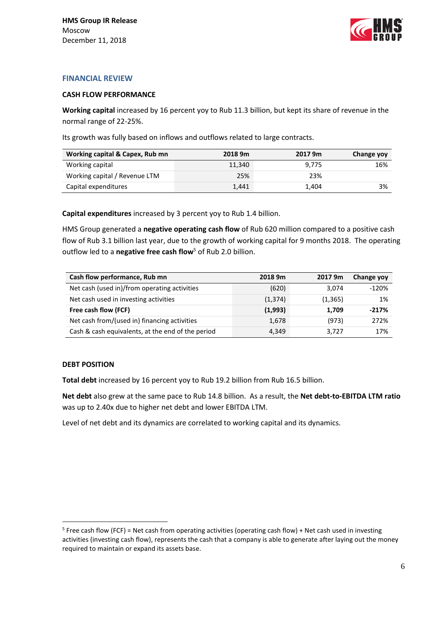

## **FINANCIAL REVIEW**

### **CASH FLOW PERFORMANCE**

**Working capital** increased by 16 percent yoy to Rub 11.3 billion, but kept its share of revenue in the normal range of 22-25%.

Its growth was fully based on inflows and outflows related to large contracts.

| Working capital & Capex, Rub mn | 2018 9m | 2017 9m | Change yoy |
|---------------------------------|---------|---------|------------|
| Working capital                 | 11.340  | 9.775   | 16%        |
| Working capital / Revenue LTM   | 25%     | 23%     |            |
| Capital expenditures            | 1.441   | 1.404   | 3%         |

**Capital expenditures** increased by 3 percent yoy to Rub 1.4 billion.

HMS Group generated a **negative operating cash flow** of Rub 620 million compared to a positive cash flow of Rub 3.1 billion last year, due to the growth of working capital for 9 months 2018. The operating outflow led to a **negative free cash flow**<sup>5</sup> of Rub 2.0 billion.

| Cash flow performance, Rub mn                     | 2018 9m  | 2017 9m  | Change yoy |
|---------------------------------------------------|----------|----------|------------|
| Net cash (used in)/from operating activities      | (620)    | 3.074    | $-120%$    |
| Net cash used in investing activities             | (1, 374) | (1, 365) | 1%         |
| Free cash flow (FCF)                              | (1,993)  | 1.709    | $-217%$    |
| Net cash from/(used in) financing activities      | 1,678    | (973)    | 272%       |
| Cash & cash equivalents, at the end of the period | 4,349    | 3.727    | 17%        |

## **DEBT POSITION**

<u>.</u>

**Total debt** increased by 16 percent yoy to Rub 19.2 billion from Rub 16.5 billion.

**Net debt** also grew at the same pace to Rub 14.8 billion. As a result, the **Net debt-to-EBITDA LTM ratio** was up to 2.40x due to higher net debt and lower EBITDA LTM.

Level of net debt and its dynamics are correlated to working capital and its dynamics.

<sup>&</sup>lt;sup>5</sup> Free cash flow (FCF) = Net cash from operating activities (operating cash flow) + Net cash used in investing activities (investing cash flow), represents the cash that a company is able to generate after laying out the money required to maintain or expand its assets base.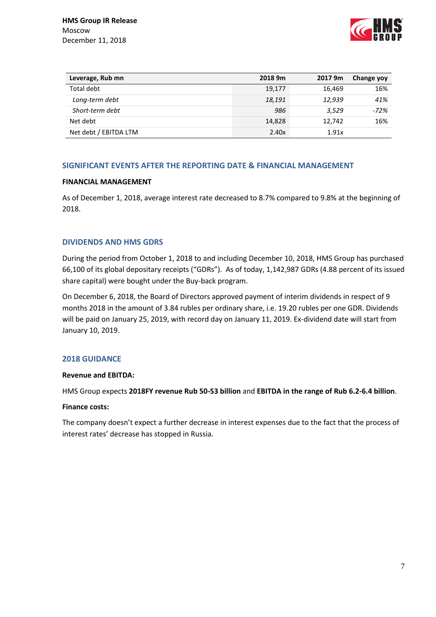

| Leverage, Rub mn      | 2018 9m | 2017 9m | Change yoy |
|-----------------------|---------|---------|------------|
| Total debt            | 19,177  | 16.469  | 16%        |
| Long-term debt        | 18,191  | 12,939  | 41%        |
| Short-term debt       | 986     | 3.529   | $-72%$     |
| Net debt              | 14,828  | 12.742  | 16%        |
| Net debt / EBITDA LTM | 2.40x   | 1.91x   |            |

## **SIGNIFICANT EVENTS AFTER THE REPORTING DATE & FINANCIAL MANAGEMENT**

## **FINANCIAL MANAGEMENT**

As of December 1, 2018, average interest rate decreased to 8.7% compared to 9.8% at the beginning of 2018.

## **DIVIDENDS AND HMS GDRS**

During the period from October 1, 2018 to and including December 10, 2018, HMS Group has purchased 66,100 of its global depositary receipts ("GDRs"). As of today, 1,142,987 GDRs (4.88 percent of its issued share capital) were bought under the Buy-back program.

On December 6, 2018, the Board of Directors approved payment of interim dividends in respect of 9 months 2018 in the amount of 3.84 rubles per ordinary share, i.e. 19.20 rubles per one GDR. Dividends will be paid on January 25, 2019, with record day on January 11, 2019. Ex-dividend date will start from January 10, 2019.

## **2018 GUIDANCE**

## **Revenue and EBITDA:**

HMS Group expects **2018FY revenue Rub 50-53 billion** and **EBITDA in the range of Rub 6.2-6.4 billion**.

### **Finance costs:**

The company doesn't expect a further decrease in interest expenses due to the fact that the process of interest rates' decrease has stopped in Russia.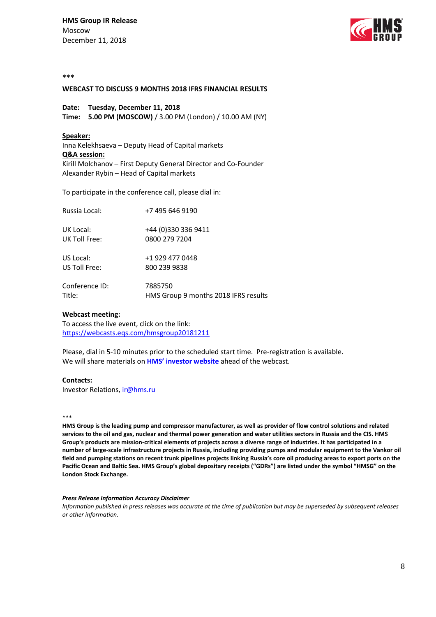**HMS Group IR Release** Moscow December 11, 2018



#### **\*\*\***

#### **WEBCAST TO DISCUSS 9 MONTHS 2018 IFRS FINANCIAL RESULTS**

### **Date: Tuesday, December 11, 2018**

**Time: 5.00 PM (MOSCOW)** / 3.00 PM (London) / 10.00 AM (NY)

#### **Speaker:**

Inna Kelekhsaeva – Deputy Head of Capital markets **Q&A session:** Kirill Molchanov – First Deputy General Director and Co-Founder Alexander Rybin – Head of Capital markets

To participate in the conference call, please dial in:

| Russia Local:  | +7 495 646 9190                      |
|----------------|--------------------------------------|
| UK Local:      | +44 (0)330 336 9411                  |
| UK Toll Free:  | 0800 279 7204                        |
| US Local:      | +1 929 477 0448                      |
| US Toll Free:  | 800 239 9838                         |
| Conference ID: | 7885750                              |
| Title:         | HMS Group 9 months 2018 IFRS results |

#### **Webcast meeting:**

To access the live event, click on the link: https://webcasts.eqs.com/hmsgroup20181211

Please, dial in 5-10 minutes prior to the scheduled start time. Pre-registration is available. We will share materials on **[HMS' investor website](http://grouphms.com/shareholders_and_investors/)** ahead of the webcast.

#### **Contacts:**

Investor Relations, [ir@hms.ru](mailto:ir@hms.ru?subject=Re%20conf%20call)

#### \*\*\*

**HMS Group is the leading pump and compressor manufacturer, as well as provider of flow control solutions and related services to the oil and gas, nuclear and thermal power generation and water utilities sectors in Russia and the CIS. HMS Group's products are mission-critical elements of projects across a diverse range of industries. It has participated in a number of large-scale infrastructure projects in Russia, including providing pumps and modular equipment to the Vankor oil field and pumping stations on recent trunk pipelines projects linking Russia's core oil producing areas to export ports on the Pacific Ocean and Baltic Sea. HMS Group's global depositary receipts ("GDRs") are listed under the symbol "HMSG" on the London Stock Exchange.** 

#### *Press Release Information Accuracy Disclaimer*

*Information published in press releases was accurate at the time of publication but may be superseded by subsequent releases or other information.*